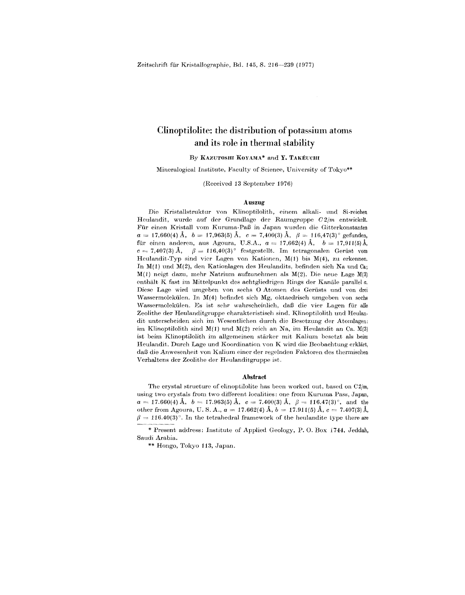# Clinoptilolite: the distribution of potassium atoms and its role in thermal stability

### By KAZUTOSHI KOYAMA\* and Y. TAKÉUCHI

Mineralogical Institute, Faculty of Science, University of Tokyo\*\*

(Received 13 September 1976)

### Auszug

Die Kristallstruktur von Klinoptilolith, einem alkali- und Si-reichen Heulandit, wurde auf der Grundlage der Raumgruppe  $C2/m$  entwickelt. Fur einen Kristall vom Kuruma-PaB in Japan wurden die Gitterkonstanten  $a = 17,660$ (4) Å,  $b = 17,963$ (5) Å,  $c = 7,400$ (3) Å,  $\beta = 116,47$ (3) $^{\circ}$  gefunden,  $\text{für}$  einen anderen, aus Agoura, U.S.A.,  $a = 17{,}662(4) \text{ Å}, \quad b = 17{,}911(5) \text{ Å},$  $c = 7{,}407(3)$  Å,  $\beta = 116{,}40(3)^\circ$  festgestellt. Im tetragonalen Gerüst vom Heulandit-Typ sind vier Lagen von Kationen, M(1) bis M(4), zu erkennen. In  $M(1)$  und  $M(2)$ , den Kationlagen des Heulandits, befinden sich Na und Ca; M(1) neigt dazu, mehr Natrium aufzunehmen als M(2). Die neue Lage M(3) enthält K fast im Mittelpunkt des achtgliedrigen Rings der Kanäle parallel a. Diese Lage wird umgeben von seehs 0 Atomen des Geriists und von drei vVassermolekiilen. In M(4) befindet sieh Mg, oktaedriseh umgeben von sechs \Vassermolekiilen. Es ist sehr wahrseheinlich, daB die vier Lagen fUr aile Zeolithe der Heulanditgruppe charakteristisch sind. Klinoptilolith und Heulandit unterscheiden sich im Wesentlichen durch die Besetzung der Atomlagen: im Klinoptilolith sind  $M(1)$  und  $M(2)$  reich an Na, im Heulandit an Ca.  $M(3)$ ist beim Klinoptilolith im allgemeinen starker mit Kalium besetzt als beim Heulandit. Durch Lage und Koordination von K wird die Beobachtung erklärt, daß die Anwesenheit von Kalium einer der regelnden Faktoren des thermischen Verhaltens der Zeolithe der Heulanditgruppe ist.

#### Abstract

The crystal structure of clinoptilolite has been worked out, based on C2/m, using two crystals from two different localities: one from Kuruma Pass, Japan,  $a = 17.660(4) \ \text{\AA}, \ \ b = 17.963(5) \ \text{\AA}, \ \ c = 7.400(3) \ \text{\AA}, \ \ \beta = 116.47(3)^{\circ}, \ \ \text{and} \ \ \text{the} \ \ \text{and} \ \ \text{the} \ \ \text{and} \ \ \text{the} \ \ \text{the} \ \ \text{the} \ \ \text{the} \ \ \text{the} \ \ \text{the} \ \ \text{the} \ \ \text{the} \ \ \text{the} \ \ \text{the} \ \ \text{the} \ \ \text{the} \ \ \text{the} \ \ \text{the} \ \ \text{the} \ \ \text{$ other from Agoura, U. S. A.,  $a = 17.662(4)$  Å,  $b = 17.911(5)$  Å,  $c = 7.407(3)$  Å,  $\beta = 116.40(3)^\circ.$  In the tetrahedral framework of the heulandite type there are

<sup>\*</sup> Present address: Institute of Applied Geology, P. O. Box *i744,* Jeddah, Saudi Arabia.

<sup>\*\*</sup> Hongo, Tokyo 113, Japan.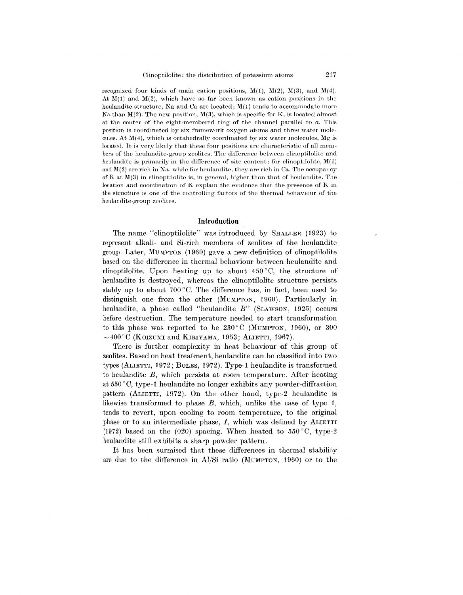recognized four kinds of main cation positions,  $M(1)$ ,  $M(2)$ ,  $M(3)$ , and  $M(4)$ . At  $M(1)$  and  $M(2)$ , which have so far been known as cation positions in the heulandite structure, Na and Ca are located;  $M(1)$  tends to accommodate more Na than  $M(2)$ . The new position,  $M(3)$ , which is specific for K, is located almost at the center of the eight-membered ring of the channel parallel to *a.* This position is coordinated by six framework oxygen atoms and three water molecules. At  $M(4)$ , which is octahedrally coordinated by six water molecules,  $Mg$  is located. It is very likely that these four positions are characteristic of all members of the heulandite-group zeolites. The difference between clinoptilolite and heulandite is primarily in the difference of site content: for clinoptilolite,  $M(1)$ and  $M(2)$  are rich in Na, while for heulandite, they are rich in Ca. The occupancy of K at  $M(3)$  in clinoptilolite is, in general, higher than that of heulandite. The location and coordination of K explain the evidence that the presence of K in the structure is one of the controlling factors of the thermal behaviour of the heulandite-group zeolites.

## **Introduction**

The name "clinoptilolite" was introduced by SHALLER (1923) to represent alkali- and Si-rich members of zeolites of the heulandite group. Later, MUMPTON(1960) gave a new definition of clinoptilolite based on the difference in thermal behaviour between heulandite and clinoptilolite. Upon heating up to about 450°C, the structure of heulandite is destroyed, whereas the clinoptilolite structure persists stably up to about  $700^{\circ}$ C. The difference has, in fact, been used to distinguish one from the other (MUMPTON, 1960). Particularly in heulandite, a phase called "heulandite  $B$ " (SLAWSON, 1925) occurs before destruction. The temperature needed to start transformation to this phase was reported to be  $230^{\circ}$ C (MUMPTON, 1960), or 300  $\sim$  400 $^{\circ}$ C (KOIZUMI and KIRIYAMA, 1953; ALIETTI, 1967).

There is further complexity in heat behaviour of this group of zeolites. Based on heat treatment, heulandite can be classified into two types (ALIETTI, 1972; BOLEs, 1972). Type-1 heulandite is transformed to heulandite *B,* which persists at room temperature. After heating at  $550\degree C$ , type-1 heulandite no longer exhibits any powder-diffraction pattern (ALIETTI, 1972). On the other hand, type-2 heulandite is likewise transformed to phase *B,* which, unlike the case of type 1, tends to revert, upon cooling to room temperature, to the original phase or to an intermediate phase, *I,* which was defined by ALIETTI (1972) based on the (020) spacing. When heated to  $550^{\circ}$ C, type-2 heulandite still exhibits a sharp powder pattern.

It has been surmised that these differences in thermal stability are due to the difference in AljSi ratio (MUMPTON, 1960) or to the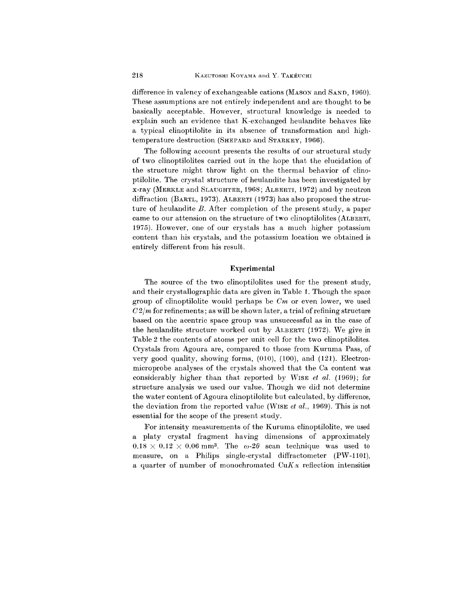difference in valency of exchangeable cations (MASON and SAND, 1960). These assumptions are not entirely independent and are thought to be basically acceptable. However, structural knowledge is needed to explain such an evidence that K-exchanged heulandite behaves like a typical clinoptilolite in its absence of transformation and hightemperature destruction (SHEPARD and STARKEY, 1966).

The following account presents the results of our structural study of two clinoptiIolites carried out in the hope that the elucidation of the structure might throw light on the thermal behavior of clinoptilolite. The crystal structure of heulandite has been investigated by x-ray (MERKLE and SLAUGHTER,1968; ALBERTI, 1972) and by neutron diffraction (BARTL, 1973). ALBERTI (1973) has also proposed the structure of heulandite *B.* After completion of the present study, a paper came to our attension on the structure of two clinoptilolites (ALBERTI, 1975). However, one of our crystals has a much higher potassium content than his crystals, and the potassium location we obtained is entirely different from his result.

### Experimental

The source of the two clinoptilolites used for the present study, and their crystallographic data are given in Table 1. Though the space group of clinoptilolite would perhaps be *Om* or even lower, we used  $C2/m$  for refinements; as will be shown later, a trial of refining structure based on the acentric space group was unsuccessful as in the case of the heulandite structure worked out by ALBERTI (1972). We give in Table 2 the contents of atoms per unit cell for the two clinoptilolites. Crystals from Agoura are, compared to those from Kuruma Pass, of very good quality, showing forms, (010), (100), and (121). Electronmicroprobe analyses of the crystals showed that the Ca content was considerably higher than that reported by WISE *et at.* (1969); for structure analysis we used our value. Though we did not determine the water content of Agoura clinoptilolite but calculated, by difference, the deviation from the reported value (WISE *et al.,* 1969). This is not essential for the scope of the present study.

For intensity measurements of the Kuruma clinoptilolite, we used a platy crystal fragment having dimensions of approximately  $0.18 \times 0.12 \times 0.06$  mm<sup>3</sup>. The  $\omega$ -2 $\theta$  scan technique was used to measure, on a Philips single-crystal diffractometer (PW-1101), a quarter of number of monochromated  $CuKx$  reflection intensities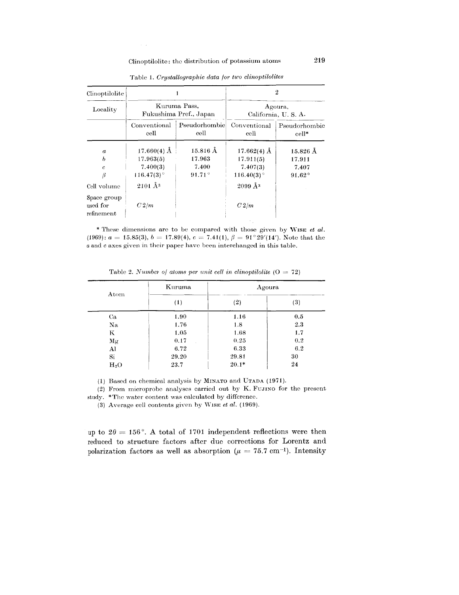$\sim 10$ 

|                                                                    |                                                  |                                                           | 2                                              |  |
|--------------------------------------------------------------------|--------------------------------------------------|-----------------------------------------------------------|------------------------------------------------|--|
|                                                                    |                                                  | Agoura,<br>California, U.S.A.                             |                                                |  |
| Conventional<br>cell                                               | Pseudorhombic<br>cell                            | Conventional<br>cell                                      | Pseudorhombic<br>cell*                         |  |
| $17.660(4)$ Å<br>17.963(5)<br>7.400(3)<br>$116.47(3)$ <sup>o</sup> | $15.816$ Å<br>17.963<br>7.400<br>$91.71^{\circ}$ | 17.662(4) $\AA$<br>17.911(5)<br>7.407(3)<br>$116.40(3)$ ° | $15.826$ Å<br>17.911<br>7.407<br>$91.62^\circ$ |  |
| C2/m                                                               |                                                  | $2099 \,\AA$ <sup>3</sup><br>C2/m                         |                                                |  |
|                                                                    | $2101 \text{ Å}^3$                               | Kuruma Pass,<br>Fukushima Pref., Japan                    |                                                |  |

Table 1. *Crystallographic data for two clinoptilolites*

\* These dimensions arc to be compared with those given by 'VISE *et al. (1969):*  $a = 15.85(3)$ ,  $b = 17.89(4)$ ,  $c = 7.41(1)$ ,  $\beta = 91^{\circ}29'(14')$ . Note that the *a* and c axes given in their paper have been interchanged in this table.

|               | Kuruma | Agoura  |     |
|---------------|--------|---------|-----|
| Atom          | (1)    | (2)     | (3) |
| Ca            | 1.90   | 1.16    | 0.5 |
| Na            | 1.76   | 1.8     | 2.3 |
| K.            | 1.05   | 1.68    | 1.7 |
| Mg            | 0.17   | 0.25    | 0.2 |
| Al            | 6.72   | 6.33    | 6.2 |
| $\mathrm{Si}$ | 29.20  | 29.81   | 30  |
| $H_2O$        | 23.7   | $20.1*$ | 24  |

Table 2. *Number of atoms per unit cell in clinoptilolite* (0 = 72)

(1) Based on chemical analysis by MINATO and UTADA (1971).

(2) From microprobe analyses carried out by K. FUJINO for the present study. \*The water content was calculated by differenc

(3) Average cell contents given by WISE *et al.* (1969)

up to  $2\theta = 156^{\circ}$ . A total of 1701 independent reflections were then reduced to structure factors after due corrections for Lorentz and polarization factors as well as absorption  $(\mu = 75.7 \text{ cm}^{-1})$ . Intensity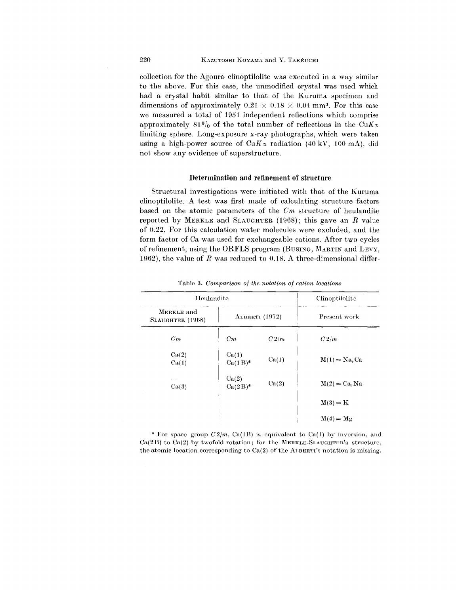collection for the Agoura clinoptilolite was executed in a way similar to the above. For this case, the unmodified crystal was used which had a crystal habit similar to that of the Kuruma specimen and dimensions of approximately  $0.21 \times 0.18 \times 0.04$  mm<sup>3</sup>. For this case we measured a total of 1951 independent reflections which comprise approximately  $81\frac{0}{0}$  of the total number of reflections in the CuK $\alpha$ limiting sphere. Long-exposure x-ray photographs, which were taken using a high-power source of  $CuK_{\alpha}$  radiation (40 kV, 100 mA), did not show any evidence of superstructure.

# **Determination and refinement of** structure

Structural investigations were initiated with that of the Kuruma clinoptilolite. A test was first made of calculating structure factors based on the atomic parameters of the *Om* structure of heulandite reported by MERKLE and SLAUGHTER (1968); this gave an *R* value of 0.22. For this calculation water molecules were excluded, and the form factor of Ca was used for exchangeable cations. After two cycles of refinement, using the ORFLS program (BUSING, MARTIN and LEVY, 1962), the value of *R* was reduced to 0.18. A three-dimensional differ-

| Heulandite                     |                     |       | Clinoptilolite   |
|--------------------------------|---------------------|-------|------------------|
| MERKLE and<br>SLAUGHTER (1968) | ALBERTI (1972)      |       | Present work     |
| Cm                             | Cm                  | C2/m  | C2/m             |
| Ca(2)<br>Ca(1)                 | Ca(1)<br>$Ca(1B)^*$ | Ca(1) | $M(1) = Na$ , Ca |
| Ca(3)                          | Ca(2)<br>$Ca(2B)^*$ | Ca(2) | $M(2) = Ca, Na$  |
|                                |                     |       | $M(3) = K$       |
|                                |                     |       | $M(4) = Mg$      |

Table 3. *Comparison of the notation of cation locations*

Ca(2B) to Ca(2) by twofold rotation; for the MERKLE-SLAUGHTER's structure. \* For space group  $C2/m$ , Ca(1B) is equivalent to Ca(1) by inversion, and the atomic location corresponding to  $Ca(2)$  of the ALBERTI's notation is missing.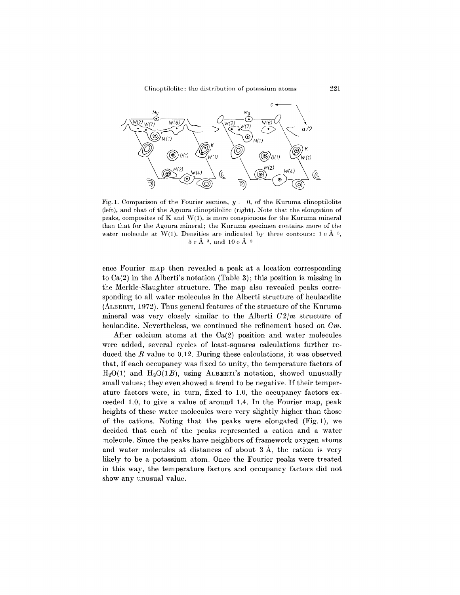

Fig. 1. Comparison of the Fourier section,  $y=0$ , of the Kuruma clinoptilol (left), and that of the Agoura clinoptilolitc (right). Note that the elongation of peaks, composites of K and  $W(1)$ , is more conspicuous for the Kuruma mineral than that for the Agoura mineral; the Kuruma specimen contains more of the water molecule at W(1). Densities are indicated by three contours:  $1 e \AA^{-3}$ ,  $5e \text{ Å}^{-3}$ , and  $10e \text{ Å}^{-3}$ 

ence Fourier map then revealed a peak at a location corresponding to Ca(2) in the Alberti's notation (Table 3); this position is missing in the Merkle-Slaughter structure. The map also revealed peaks corresponding to all water molecules in the Alberti structure of heulandite (ALBERTI, 1972). Thus general features of the structure of the Kuruma mineral was very closely similar to the Alberti  $C2/m$  structure of heulandite. Nevertheless, we continued the refinement based on *Om.*

After calcium atoms at the Ca(2) position and water molecules were added, several cycles of least-squares calculations further reduced the *R* value to 0.12. During these calculations, it was observed that, if each occupancy was fixed to unity, the temperature factors of  $H<sub>2</sub>O(1)$  and  $H<sub>2</sub>O(1B)$ , using ALBERTI's notation, showed unusually small values; they even showed a trend to be negative. If their temperature factors were, in turn, fixed to 1.0, the occupancy factors exceeded 1.0, to give a value of around 1.4. In the Fourier map, peak heights of these water molecules were very slightly higher than those of the cations. Noting that the peaks were elongated (Fig. 1), we decided that each of the peaks represented a cation and a water molecule. Since the peaks have neighbors of framework oxygen atoms and water molecules at distances of about 3 A, the cation is very likely to be a potassium atom. Once the Fourier peaks were treated in this way, the temperature factors and occupancy factors did not show any unusual value.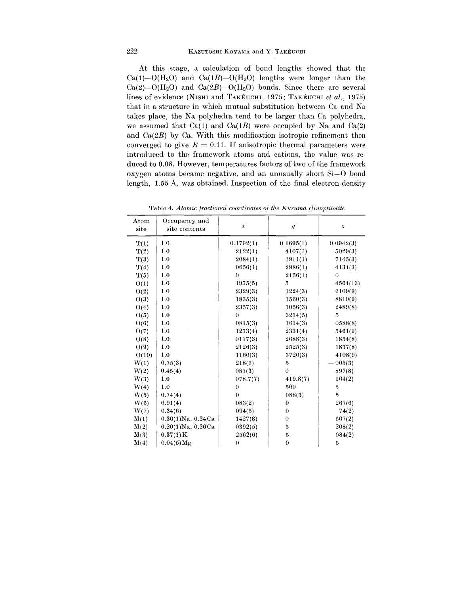At this stage, a calculation of bond lengths showed that the  $Ca(1)-O(H<sub>2</sub>O)$  and  $Ca(1B)-O(H<sub>2</sub>O)$  lengths were longer than the  $Ca(2)$ -O(H<sub>2</sub>O) and  $Ca(2B)$ -O(H<sub>2</sub>O) bonds. Since there are several lines of evidence (NISHI and TAKEUCHI, 1975; TAKEUCHI *et al., 1975)* that in a structure in which mutual substitution between Ca and Na takes place, the Na polyhedra tend to be larger than Ca polyhedra, we assumed that  $Ca(1)$  and  $Ca(1B)$  were occupied by Na and  $Ca(2)$ and *Ca(2B)* by Ca. With this modification isotropic refinement then converged to give  $R = 0.11$ . If anisotropic thermal parameters were introduced to the framework atoms and cations, the value was reduced to 0.08. However, temperatures factors of two of the framework oxygen atoms became negative, and an unusually short Si-O bond length, 1.55 A, was obtained. Inspection of the final electron-density

| Atom<br>site | Occupancy and<br>site contents | $\alpha$  | $\boldsymbol{y}$   | $\boldsymbol{z}$ |
|--------------|--------------------------------|-----------|--------------------|------------------|
| T(1)         | 1.0                            | 0.1792(1) | 0.1695(1)          | 0.0942(3)        |
| T(2)         | 1.0                            | 2122(1)   | 4107(1)            | 5029(3)          |
| T(3)         | 1.0                            | 2084(1)   | 1911(1)            | 7145(3)          |
| T(4)         | 1.0                            | 0656(1)   | 2986(1)            | 4134(3)          |
| T(5)         | 1.0                            | $\theta$  | 2156(1)            | $\theta$         |
| O(1)         | 1.0                            | 1975(5)   | 5                  | 4564(13)         |
| O(2)         | 1.0                            | 2329(3)   | 1224(3)            | 6109(9)          |
| O(3)         | 1.0                            | 1835(3)   | 1560(3)            | 8810(9)          |
| O(4)         | 1.0                            | 2357(3)   | 1056(3)            | 2489(8)          |
| O(5)         | 1.0                            | $\theta$  | 3214(5)            | 5                |
| O(6)         | 1.0                            | 0815(3)   | 1614(3)            | 0588(8)          |
| O(7)         | 1.0                            | 1273(4)   | 2331(4)            | 5461(9)          |
| O(8)         | 1.0                            | 0117(3)   | 2688(3)            | 1854(8)          |
| O(9)         | 1.0                            | 2126(3)   | 2525(3)            | 1837(8)          |
| O(10)        | 1.0                            | 1160(3)   | 3720(3)            | 4108(9)          |
| W(1)         | 0.75(3)                        | 218(1)    | $\tilde{\text{o}}$ | $-005(3)$        |
| W(2)         | 0.45(4)                        | 087(3)    | $\bf{0}$           | 897(8)           |
| W(3)         | 1.0                            | 078.7(7)  | 419.8(7)           | 964(2)           |
| W(4)         | 1.0                            | $\theta$  | 500                | 5                |
| W(5)         | 0.74(4)                        | $\theta$  | 088(3)             | $\overline{5}$   |
| W(6)         | 0.91(4)                        | 083(2)    | $\bf{0}$           | 267(6)           |
| W(7)         | 0.34(6)                        | 094(5)    | $\theta$           | 74(2)            |
| M(1)         | $0.36(1)$ Na, $0.24$ Ca        | 1427(8)   | $\theta$           | 667(2)           |
| M(2)         | $0.20(1)$ Na, $0.26$ Ca        | 0392(5)   | 5                  | 208(2)           |
| M(3)         | 0.37(1)K                       | 2562(6)   | $\rm 5$            | 084(2)           |
| M(4)         | $0.04(5)$ Mg                   | $\theta$  | $\boldsymbol{0}$   | 5                |

Table 4. *Atomic fractional coordinates of the Kuruma clinoptilolite*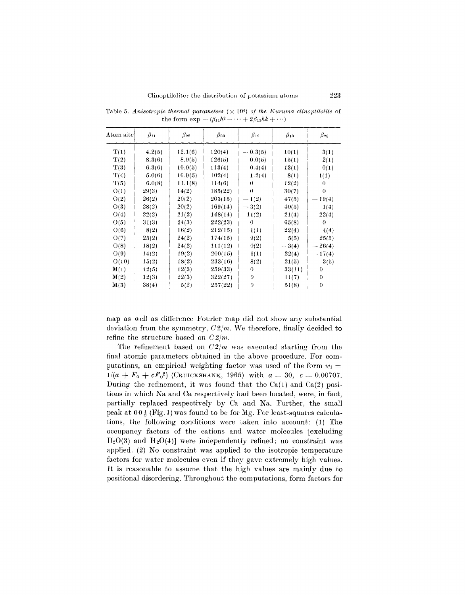| $\rm{Atom\ site}$ | $\beta_{11}$ | $\beta_{22}$ | $\beta_{33}$ | $\beta_{12}$ | $\beta_{13}$ | $\beta_{23}$                     |
|-------------------|--------------|--------------|--------------|--------------|--------------|----------------------------------|
| T(1)              | 4.2(5)       | 12.1(6)      | 120(4)       | $-0.3(5)$    | 10(1)        | 3(1)                             |
| T(2)              | 8.3(6)       | 8.9(5)       | 126(5)       | 0.0(5)       | 15(1)        | 2(1)                             |
| T(3)              | 6.3(6)       | 10.0(5)      | 113(4)       | 0.4(4)       | 13(1)        | 0(1)                             |
| T(4)              | 5.0(6)       | 10.9(5)      | 102(4)       | $-1.2(4)$    | 8(1)         | $-1(1)$                          |
| T(5)              | 6.0(8)       | 11.1(8)      | 114(6)       | $\theta$     | 12(2)        | $\Omega$                         |
| O(1)              | 29(3)        | 14(2)        | 185(22)      | $\theta$     | 30(7)        | $\theta$                         |
| O(2)              | 26(2)        | 20(2)        | 203(15)      | $-1(2)$      | 47(5)        | $-19(4)$                         |
| O(3)              | 28(2)        | 20(2)        | 169(14)      | $-3(2)$      | 40(5)        | 1(4)                             |
| O(4)              | 22(2)        | 21(2)        | 148(14)      | 11(2)        | 21(4)        | 22(4)                            |
| O(5)              | 31(3)        | 24(3)        | 222(23)      | $\theta$     | 65(8)        | $\theta$                         |
| O(6)              | 8(2)         | 16(2)        | 212(15)      | 1(1)         | 22(4)        | 4(4)                             |
| O(7)              | 25(2)        | 24(2)        | 174(15)      | 9(2)         | 5(5)         | 25(5)                            |
| O(8)              | 18(2)        | 24(2)        | 111(12)      | 0(2)         | $-3(4)$      | $-26(4)$                         |
| O(9)              | 14(2)        | 19(2)        | 200(15)      | $-6(1)$      | 22(4)        | $-17(4)$                         |
| O(10)             | 15(2)        | 18(2)        | 233(16)      | $-8(2)$      | 21(5)        | 3(5)<br>$\overline{\phantom{0}}$ |
| M(1)              | 42(5)        | 12(3)        | 259(33)      | $\theta$     | 33(11)       | $\bf{0}$                         |
| M(2)              | 12(3)        | 22(3)        | 322(27)      | $\theta$     | 11(7)        | $\bf{0}$                         |
| M(3)              | 38(4)        | 5(2)         | 257(22)      | $\theta$     | 51(8)        | $\theta$                         |

Table 5. Anisotropic thermal parameters  $(\times 10^4)$  of the Kuruma clinoptilolite of the form  $\exp -(\beta_{11}h^2 + \cdots + 2\beta_{12}hk + \cdots)$ 

map as well as difference Fourier map did not show any substantial deviation from the symmetry,  $C2/m$ . We therefore, finally decided to refine the structure based on *02jm.*

The refinement based on *02jm* was executed starting from the final atomic parameters obtained in the above procedure. For computations, an empirical weighting factor was used of the form  $w_i =$  $1/(a + F_0 + cF_0^2)$  (CRUICKSHANK, 1965) with  $a = 30, c = 0.0070$ During the refinement, it was found that the  $Ca(1)$  and  $Ca(2)$  positions in which Na and Ca respectively had been located, were, in fact, partially replaced respectively by Ca and Na. Further, the small peak at  $00\frac{1}{2}$  (Fig. 1) was found to be for Mg. For least-squares calculations, the following conditions were taken into account: (1) The occupancy factors of the cations and water molecules [excluding  $H<sub>2</sub>O(3)$  and  $H<sub>2</sub>O(4)$  were independently refined; no constraint was applied. (2) No constraint was applied to the isotropic temperature factors for water molecules even if they gave extremely high values. It is reasonable to assume that the high values are mainly due to positional disordering. Throughout the computations, form factors for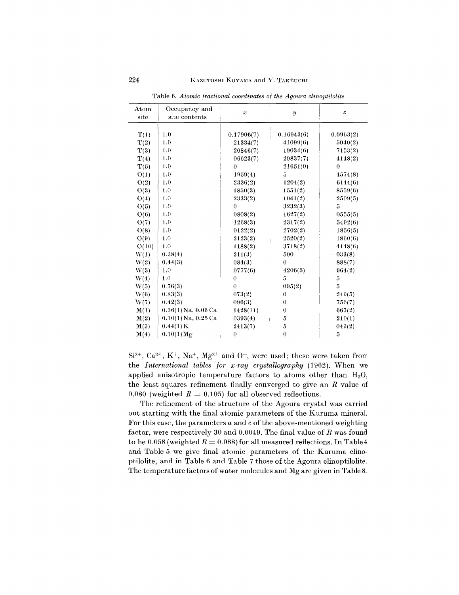# 224 KAZUTOSHI KOYAMA and Y. TAKÉUCHI

| $_{\rm Atom}$ | Occupancy and           | $\mathcal{X}$ | $\boldsymbol{y}$ | $\boldsymbol{z}$ |
|---------------|-------------------------|---------------|------------------|------------------|
| site          | site contents           |               |                  |                  |
|               |                         |               |                  |                  |
| T(1)          | 1.0                     | 0.17906(7)    | 0.16943(6)       | 0.0963(2)        |
| T(2)          | 1.0                     | 21334(7)      | 41099(6)         | 5040(2)          |
| T(3)          | 1.0                     | 20846(7)      | 19034(6)         | 7153(2)          |
| T(4)          | 1.0                     | 06623(7)      | 29837(7)         | 4148(2)          |
| T(5)          | 1.0                     | $\theta$      | 21651(9)         | $\bf{0}$         |
| O(1)          | 1.0                     | 1959(4)       | 5                | 4574(8)          |
| O(2)          | 1.0                     | 2336(2)       | 1204(2)          | 6144(6)          |
| O(3)          | 1.0                     | 1850(3)       | 1551(2)          | 8559(6)          |
| O(4)          | 1.0                     | 2333(2)       | 1041(2)          | 2509(5)          |
| O(5)          | 1.0                     | 0             | 3232(3)          | 5                |
| O(6)          | 1.0                     | 0808(2)       | 1627(2)          | 0555(5)          |
| O(7)          | 1.0                     | 1268(3)       | 2317(2)          | 5492(6)          |
| O(8)          | 1.0                     | 0122(2)       | 2702(2)          | 1856(5)          |
| O(9)          | 1.0                     | 2123(2)       | 2520(2)          | 1860(6)          |
| O(10)         | 1.0                     | 1188(2)       | 3718(2)          | 4148(6)          |
| W(1)          | 0.38(4)                 | 211(3)        | 500              | $-033(8)$        |
| W(2)          | 0.44(3)                 | 084(3)        | $\theta$         | 888(7)           |
| W(3)          | 1.0                     | 0777(6)       | 4206(5)          | 964(2)           |
| W(4)          | 1.0                     | $\theta$      | 5                | 5                |
| W(5)          | 0.76(3)                 | $\Omega$      | 095(2)           | 5                |
| W(6)          | 0.83(3)                 | 073(2)        | $\theta$         | 249(5)           |
| W(7)          | 0.42(3)                 | 096(3)        | $\theta$         | 756(7)           |
| M(1)          | $0.36(1)$ Na, $0.06$ Ca | 1428(11)      | $\theta$         | 667(2)           |
| M(2)          | $0.10(1)$ Na, $0.25$ Ca | 0393(4)       | 5                | 210(1)           |
| M(3)          | 0.44(1)K                | 2413(7)       | $\bf 5$          | 049(2)           |
| M(4)          | $0.10(1)$ Mg            | $\theta$      | $\bf{0}$         | $\overline{5}$   |

Table 6. *Atomic fractional coordinates of the Agoura clinoptilolite*

Si<sup>2+</sup>, Ca<sup>2+</sup>, K<sup>+</sup>, Na<sup>+</sup>, Mg<sup>2+</sup> and O<sup>-</sup>, were used; these were taken from the *International tables for x-ray crystallography* (1962). When we applied anisotropic temperature factors to atoms other than  $H_2O$ , the least-squares refinement finally converged to give an *R* value of  $0.080$  (weighted  $R = 0.105$ ) for all observed reflection

The refinement of the structure of the Agoura crystal was carried out starting with the final atomic parameters of the Kuruma mineral. For this case, the parameters *a* and c of the above-mentioned weighting factor, were respectively 30 and 0.0049. The final value of *R* was found to be  $0.058$  (weighted  $R = 0.088$ ) for all measured reflections. In Table 4 and Table 5 we give final atomic parameters of the Kuruma clinoptilolite, and in Table 6 and Table 7 those of the Agoura clinoptilolite. The temperature factors of water molecules and Mg are given in Table 8.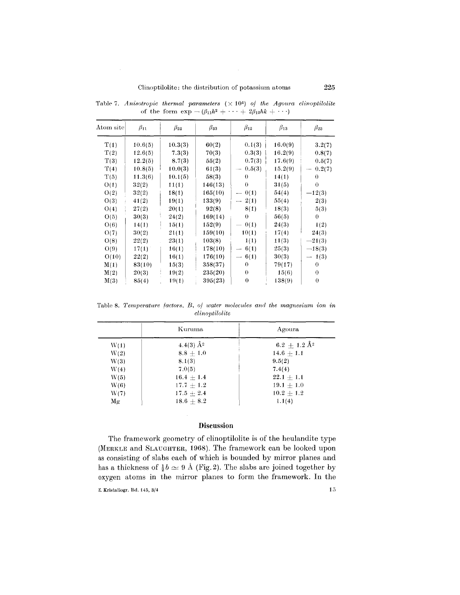| Atom site | $\beta_{11}$ | $\beta_{22}$ | $\beta_{33}$ | $\beta_{12}$                       | $\beta_{13}$ | $\beta_{23}$ |
|-----------|--------------|--------------|--------------|------------------------------------|--------------|--------------|
| T(1)      | 10.6(5)      | 10.3(3)      | 60(2)        | 0.1(3)                             | 16.0(9)      | 3.2(7)       |
| T(2)      | 12.6(5)      | 7.3(3)       | 70(3)        | 0.3(3)                             | 16.2(9)      | 0.8(7)       |
| T(3)      | 12.2(5)      | 8.7(3)       | 55(2)        | 0.7(3)                             | 17.6(9)      | 0.5(7)       |
| T(4)      | 10.8(5)      | 10.0(3)      | 61(3)        | 0.5(3)<br>$\overline{\phantom{a}}$ | 15.2(9)      | 0.2(7)       |
| T(5)      | 11.3(6)      | 10.1(5)      | 58(3)        | 0                                  | 14(1)        | $\theta$     |
| O(1)      | 32(2)        | 11(1)        | 146(13)      | $\theta$                           | 31(5)        | 0            |
| O(2)      | 32(2)        | 18(1)        | 165(10)      | 0(1)<br>$\overline{\phantom{0}}$   | 54(4)        | $-12(3)$     |
| O(3)      | 41(2)        | 19(1)        | 133(9)       | 2(1)<br>$\overline{\phantom{a}}$   | 55(4)        | 2(3)         |
| O(4)      | 27(2)        | 20(1)        | 92(8)        | 8(1)                               | 18(3)        | 5(3)         |
| O(5)      | 30(3)        | 24(2)        | 169(14)      | $\theta$                           | 56(5)        | $\bf{0}$     |
| O(6)      | 14(1)        | 15(1)        | 152(9)       | 0(1)                               | 24(3)        | 1(2)         |
| O(7)      | 30(2)        | 21(1)        | 159(10)      | 10(1)                              | 17(4)        | 24(3)        |
| O(8)      | 22(2)        | 23(1)        | 103(8)       | 1(1)                               | 11(3)        | $-21(3)$     |
| O(9)      | 17(1)        | 16(1)        | 178(10)      | 6(1)                               | 25(3)        | $-18(3)$     |
| O(10)     | 22(2)        | 16(1)        | 176(10)      | 6(1)<br>$\overline{\phantom{m}}$   | 30(3)        | $-1(3)$      |
| M(1)      | 83(10)       | 15(3)        | 358(37)      | $\theta$                           | 79(17)       | 0            |
| M(2)      | 20(3)        | 19(2)        | 235(20)      | $\theta$                           | 15(6)        | $\theta$     |
| M(3)      | 85(4)        | 19(1)        | 395(23)      | $\theta$                           | 138(9)       | $\bf{0}$     |

Table 7. Anisotropic thermal parameters  $(\times 10^4)$  of the Agoura clinoptilolite of the form  $\exp$  -  $(\beta_{11}h^2 + \cdots + 2\beta_{12}hk + \cdots)$ 

Table 8. Temperature *factors*, *B*, *of water* molecules and the magnesium ion in *clinoptilolite*

|      | Kuruma         | Agoura                       |
|------|----------------|------------------------------|
| W(1) | 4.4(3) $\AA^2$ | $6.2~\pm~1.2~\mathrm{\AA}^2$ |
| W(2) | $8.8 + 1.0$    | $14.6 + 1.1$                 |
| W(3) | 8.1(3)         | 9.5(2)                       |
| W(4) | 7.0(5)         | 7.4(4)                       |
| W(5) | $16.4 + 1.4$   | $22.1 + 1.1$                 |
| W(6) | $17.7 + 1.2$   | $19.1 + 1.0$                 |
| W(7) | $17.5 + 2.4$   | $10.2 + 1.2$                 |
| Mg   | $18.6 + 8.2$   | 1.1(4)                       |

# **Discussion**

The framework geometry of clinoptilolite is of the heulandite type (MERKLE and SLAUGHTER, 1968). The framework can be looked upon as consisting of slabs each of which is bounded by mirror planes and has a thickness of  $\frac{1}{2}b \simeq 9$  Å (Fig. 2). The slabs are joined together by oxygen atoms in the mirror planes to form the framework. **In** the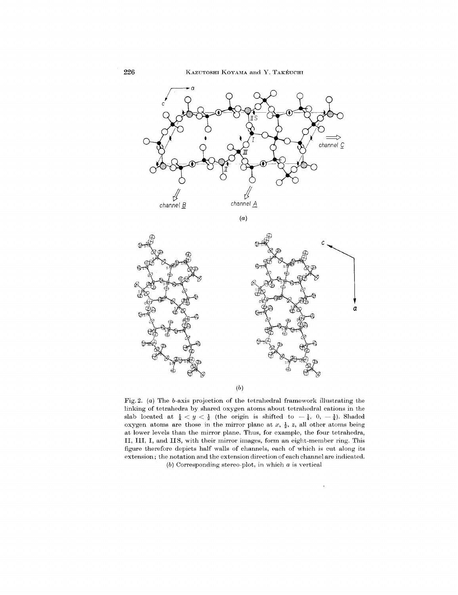

(a)



Fig. 2.  $(a)$  The b-axis projection of the tetrahedral framework illustrating the linking of tetrahedra by shared oxygen atoms about tetrahedral cations in the slab located at  $\frac{1}{4} < y < \frac{1}{2}$  (the origin is shifted to  $-\frac{1}{4}$ , 0,  $-\frac{1}{4}$ ). Shad oxygen atoms are those in the mirror plane at  $x$ ,  $\frac{1}{2}$ ,  $z$ , all other atoms being at lower levels than the mirror plane. Thus, for examplo, the four tetrahedra, II, III, **I,** and II S, with their mirror images, form an eight-member ring. This figure therefore depicts half walls of channels, each of which is cut along its extension; the notation and the extension direction of each channel are indicated.

(b) Corresponding stereo-plot, in which  $a$  is vertical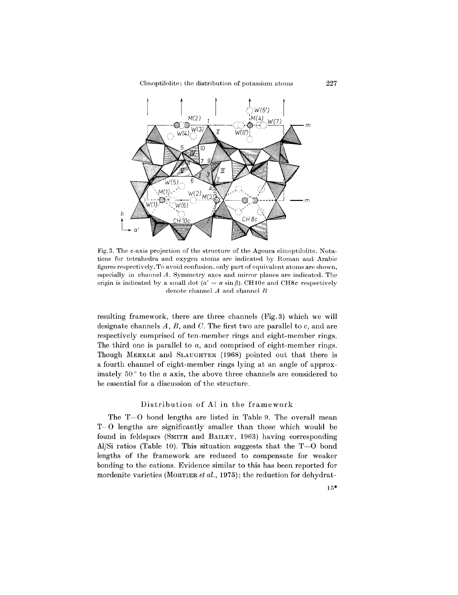Clinoptilolite: the distribution of potassium atoms 227



Fig. 3. The c-axis projection of the structure of the Agoura clinoptilolite. Notations for tetrahedra and oxygen atoms are indicated by Homan and Arabic figures respectively. To avoid confusion, only part of equivalent atoms are shown, especially in channel *A.* Symmetry axes and mirror planes are indicated. The origin is indicated by a small dot  $(a' = a \sin \beta)$ . CH10*c* and CH8*c* respective denote channel *A* and channel *n*

resulting framework, there are three channels (Fig.3) which we will designate channels *A, B,* and *C.* The first two are parallel to *c,* and are respectively comprised of ten-member rings and eight-member rings. The third one is parallel to *a,* and comprised of eight-member rings. Though MERKLE and SLAUGHTER (1968) pointed out that there is a fourth channel of eight-member rings lying at an angle of approximately  $50^\circ$  to the *a* axis, the above three channels are considered to be essential for a discussion of the structure.

# Distribution of Al in the framework

The T-O bond lengths are listed in Table 9. The overall mean T-O lengths are significantly smaller than those which would be found in feldspars (SMITH and BAILEY, 1963) having corresponding Al/Si ratios (Table 10). This situation suggests that the  $T-0$  bond lengths of the framework are reduced to compensate for weaker bonding to the cations. Evidence similar to this has been reported for mordenite varieties (MORTIER*et al.,* 1975); the reduction for dehydrat-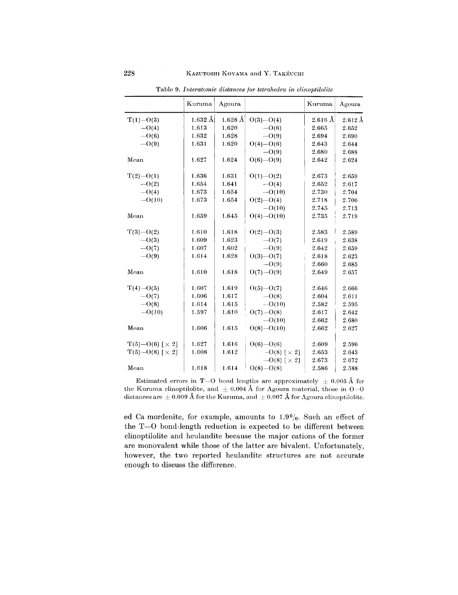|                                         | Kuruma            | Agoura    |                                  | Kuruma            | Agoura          |
|-----------------------------------------|-------------------|-----------|----------------------------------|-------------------|-----------------|
| $T(1) - O(3)$                           | $1.632 \text{ Å}$ | $1.628$ Å | $O(3) - O(4)$                    | $2.616 \text{ Å}$ | $2.612~\rm \AA$ |
| $-O(4)$                                 | 1.613             | 1.620     | $-0(6)$                          | 2.665             | 2.652           |
| $-\mathrm{O}(6)$                        | 1.632             | 1.628     | $-O(9)$                          | 2.694             | 2.690           |
| $-O(9)$                                 | 1.631             | 1.620     | $O(4) - O(6)$                    | 2.643             | 2.644           |
|                                         |                   |           | $-O(9)$                          | 2.680             | 2.688           |
| Mean                                    | 1.627             | 1.624     | $O(6) - O(9)$                    | 2.642             | 2.624           |
| $T(2) - O(1)$                           | 1.636             | 1.631     | $O(1) - O(2)$                    | 2.673             | 2.659           |
| $-O(2)$                                 | 1.654             | 1.641     | $-O(4)$                          | 2.652             | 2.617           |
| $-O(4)$                                 | 1.673             | 1.654     | $-O(10)$                         | 2.730             | 2.704           |
| $-O(10)$                                | 1.673             | 1.654     | $O(2) - O(4)$                    | 2.718             | 2.706           |
|                                         |                   |           | $-0(10)$                         | 2.745             | 2.713           |
| Mean                                    | 1.659             | 1.645     | $O(4) - O(10)$                   | 2.735             | 2.719           |
| $T(3)-O(2)$                             | 1.610             | 1.618     | $O(2) - O(3)$                    | 2.583             | 2.589           |
| $-O(3)$                                 | 1.609             | 1.623     | $-O(7)$                          | 2.619             | 2.638           |
| $-O(7)$                                 | 1.607             | 1.602     | $-O(9)$                          | 2.642             | 2.659           |
| $-\mathrm{O}(9)$                        | 1.614             | 1.628     | $O(3) - O(7)$                    | 2.618             | 2.623           |
|                                         |                   |           | $-\mathrm{O}(9)$                 | 2.660             | 2.685           |
| Mean                                    | 1.610             | 1.618     | $O(7) - O(9)$                    | 2.649             | 2.657           |
| $T(4)-O(5)$                             | 1.607             | 1.619     | $O(5) - O(7)$                    | 2.646             | 2.666           |
| $-O(7)$                                 | 1.606             | 1.617     | $-\mathrm{O}(8)$                 | 2.604             | 2.611           |
| $-\mathrm{O}(8)$                        | 1.614             | 1.615     | $  O(10)$                        | 2.582             | 2.595           |
| $- O(10)$                               | 1.597             | 1.610     | $O(7)-O(8)$                      | 2.617             | 2.642           |
|                                         |                   |           | $-O(10)$                         | 2.662             | 2.680           |
| Mean                                    | 1.606             | 1.615     | $O(8) - O(10)$                   | 2.662             | 2.627           |
| $T(5) - O(6)$ $\left[ \times 2 \right]$ | 1.627             | 1.616     | $O(6) - O(6)$                    | 2.609             | 2.596           |
| $T(5)-O(8)$ $\lceil \times 2 \rceil$    | 1.608             | 1.612     | $-O(8)$ $\lceil \times 2 \rceil$ | 2.653             | 2.643           |
|                                         |                   |           | $-0(8)$ [ $\times$ 2]            | 2.673             | 2.672           |
| Mean                                    | 1.618             | 1.614     | $O(8) - O(8)$                    | 2.586             | 2.588           |

Table 9. *Interatomic distances for tetrahedra in clinoptilolite*

Estimated errors in T-O bond lengths arc approximately  $\pm$  0.005 Å for the Kuruma elinoptilolite, and  $\pm$  0.004 Å for Agoura material, those in O-0 distances are  $\pm 0.009$  Å for the Kuruma, and  $\pm 0.007$  Å for Agoura elinoptilolite.

ed Ca mordenite, for example, amounts to  $1.9\%$ . Such an effect of the  $T-0$  bond-length reduction is expected to be different between clinoptilolite and heulandite because the major cations of the former are monovalent while those of the latter are bivalent. Unfortunately, however, the two reported heulandite structures are not accurate enough to discuss the difference.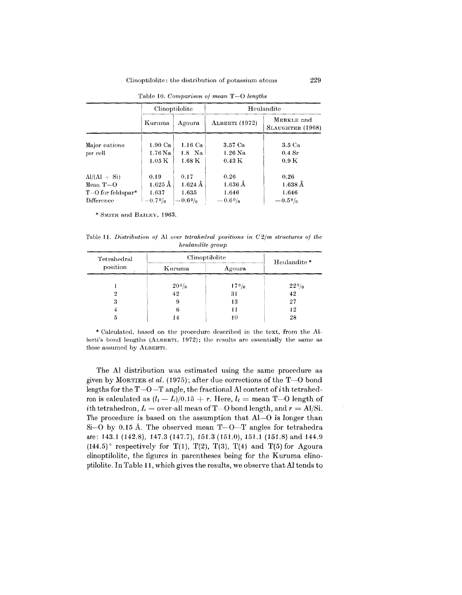### Clinoptilolite: the distribution of potassium atoms 229

|                                                                                | Clinoptilolite                                                 |                                                      | Heulandite                                    |                                                    |  |
|--------------------------------------------------------------------------------|----------------------------------------------------------------|------------------------------------------------------|-----------------------------------------------|----------------------------------------------------|--|
|                                                                                | Kuruma                                                         | Agoura                                               | <b>ALBERTI</b> (1972)                         | MERKLE and<br>SLAUGHTER (1968)                     |  |
| Major cations<br>per cell                                                      | $1.90 \text{ Ca}$<br>$1.76\,\mathrm{Na}$<br>$1.05\,\mathrm{K}$ | 1.16 Ca<br>$1.8$ Na<br>$1.68\,\mathrm{K}$            | 3.57 Ca<br>$1.26$ Na<br>$0.43\ {\rm K}$       | 3.5 <sub>Ca</sub><br>$0.4\;\mathrm{Sr}$<br>0.9K    |  |
| $Al/(Al + Si)$<br>Mean $T=O$<br>$T$ –O for feldspar <sup>*</sup><br>Difference | 0.19<br>$1.625 \,\text{\AA}$<br>1.637<br>$-0.79/0$             | 0.17<br>$1.624 \,\mathrm{\AA}$<br>1.635<br>$-0.60_0$ | 0.26<br>$1.636\,\AA$<br>1.646<br>$= 0.69_{0}$ | 0.26<br>$1.638\,\AA$<br>1.646<br>$-0.5\frac{0}{0}$ |  |

Table 10. *Comparison at mean* T-O *lengths*

SMITH and BAILEY, 1963.

Table 11. *Distribution of* Al *over tetrahedral positions in*  $C2/m$  *structures of the heulandite group*

| Tetrahedral | Clinoptilolite     | Heulandite* |             |
|-------------|--------------------|-------------|-------------|
| position    | Kuruma             | Agoura      |             |
|             | 20 <sup>0</sup> /0 | 170/0       | $22^{0}/_0$ |
| 2           | 42                 | 31          | 42          |
| 3           | 9                  | 13          | 27          |
| 4           | 6                  | 11          | 12          |
| 5           | 14                 | 10          | 28          |

berti's bond lengths (ALBERTI, 1972); the results are essentially the same as Calculated, based on the procedure described in the text, from the AI. those assumed by ALBERTI.

The Al distribution was estimated using the same procedure as given by MORTIER *et al.* (1975); after due corrections of the  $T-0$  bond lengths for the  $T-O-T$  angle, the fractional Al content of *i*th tetrahedron is calculated as  $(l_i - L)/0.15 + r$ . Here,  $l_i =$  mean T-O length of  $i$ th tetrahedron,  $L =$  over-all mean of T $-$ O bond length, and  $r =$  AI/S The procedure is based on the assumption that Al-O is longer than Si-O by 0.15 Å. The observed mean  $T-O-T$  angles for tetrahedra are: 143.1 (142.8), 147.3 (147.7),151.3 (151.0),151.1 (151.8) and 144.9  $(144.5)$ <sup>°</sup> respectively for T(1), T(2), T(3), T(4) and T(5) for Agoura clinoptilolite, the figures in parentheses being for the Kuruma clinoptilolite. In Table **11,** which gives the results, we observe that Al tends to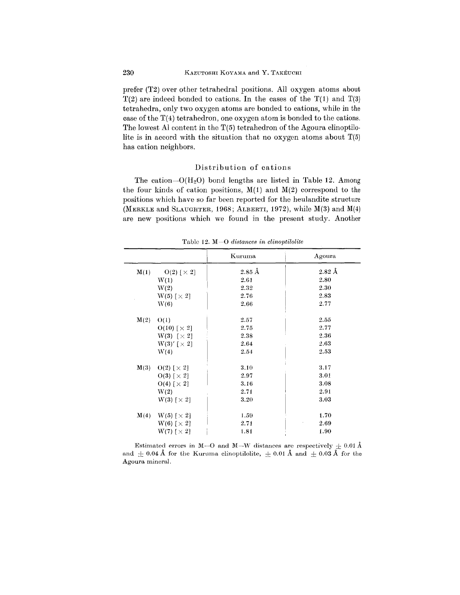prefer (T2) over other tetrahedral positions. All oxygen atoms about  $T(2)$  are indeed bonded to cations. In the cases of the  $T(1)$  and  $T(3)$ tetrahedra, only two oxygen atoms are bonded to cations, while in the case of the T(4) tetrahedron, one oxygen atom is bonded to the cations. The lowest Al content in the  $T(5)$  tetrahedron of the Agoura clinoptilolite is in accord with the situation that no oxygen atoms about  $T(5)$ has cation neighbors.

### Distribution of cations

The cation- $O(H_2O)$  bond lengths are listed in Table 12. Among the four kinds of cation positions,  $M(1)$  and  $M(2)$  correspond to the positions which have so far been reported for the heulandite structure (MERKLE and SLAUGHTER, 1968; ALBERTI, 1972), while  $M(3)$  and  $M(4)$ are new positions which we found in the present study. Another

|                                         | Kuruma            | Agoura              |
|-----------------------------------------|-------------------|---------------------|
| M(1)<br>$O(2)\;[\,\times \,2]$          | $2.85~\text{\AA}$ | $2.82~\mathrm{\AA}$ |
| W(1)                                    | 2.61              | 2.80                |
| W(2)                                    | 2.32              | 2.30                |
| $W(5)$ $\lceil \times 2 \rceil$         | 2.76              | 2.83                |
| W(6)                                    | 2.66              | 2.77                |
| M(2)<br>O(1)                            | 2.57              | 2.55                |
| $O(10)$ $\lceil \times 2 \rceil$        | 2.75              | 2.77                |
| $W(3)$ [ $\times 2$ ]                   | 2.38              | 2.36                |
| $W(3)'$ $\lceil \times 2 \rceil$        | 2.64              | 2.63                |
| W(4)                                    | 2.54              | 2.53                |
| M(3)<br>$O(2)$ [ $\times$ 2]            | 3.10              | 3.17                |
| $O(3)$ $\lceil \times 2 \rceil$         | 2.97              | 3.01                |
| $O(4)$ $\left[\times 2\right]$          | 3.16              | 3.08                |
| W(2)                                    | 2.71              | 2.91                |
| $W(3)$ $\lceil \times 2 \rceil$         | $3.20\,$          | 3.03                |
| M(4)<br>$W(5)$ $\lceil \times 2 \rceil$ | 1.59              | 1.70                |
| $W(6)$ [ $\times$ 2]                    | 2.71              | 2.69                |
| $\mathrm{W}(7)$ [ $\times$ 2]           | 1.81              | 1.90                |

Table 12. M ~O*distances in clinoptilolite*

Estimated errors in M-O and M-W distances are respectively  $\pm$  0.01 Å and  $\pm 0.04$  Å for the Kuruma clinoptilolite,  $\pm 0.01$  Å and  $\pm 0.03$  Å for the Agoura mineral.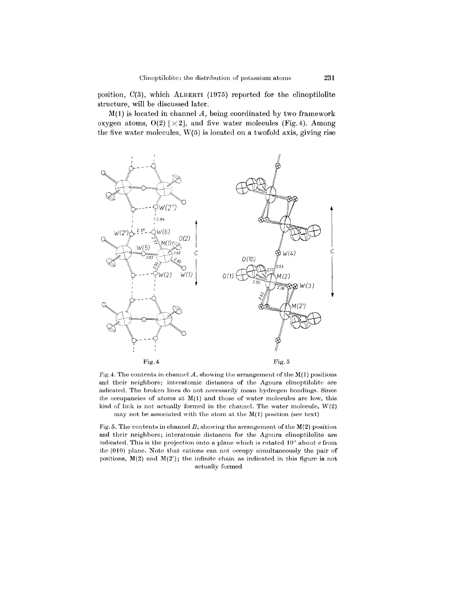position, 0(3), which ALBERTI (1975) reported for the clinoptilolite structure, will be discussed later.

 $M(1)$  is located in channel A, being coordinated by two framework oxygen atoms,  $O(2)$  [ $\times 2$ ], and five water molecules (Fig. 4). Among the five water molecules, W(5) is located on a twofold axis, giving rise



Fig. 4. The contents in channel  $A$ , showing the arrangement of the  $M(1)$  positions and their neighbors; interatomic distances of the Agoura clinoptilolite are indicated. The broken lines do not necessarily mean hydrogen bondings. Since the occupancies of atoms at  $M(1)$  and those of water molecules are low, this kind of link is not actually formed in the channel. The water molecule,  $W(2)$ may not be associated with the atom at the  $M(1)$  position (see text)

Fig. 5. The contents in channel *B,* showing the arrangement of the M(2) position and their neighbors; interatomic distances for the Agoura clinoptilolite are indicated. This is the projection onto a plane which is rotated  $10^{\circ}$  about c from the (010) plane. Note that cations can not occupy simultaneously the pair of positions,  $M(2)$  and  $M(2')$ ; the infinite chain as indicated in this figure is not actually formed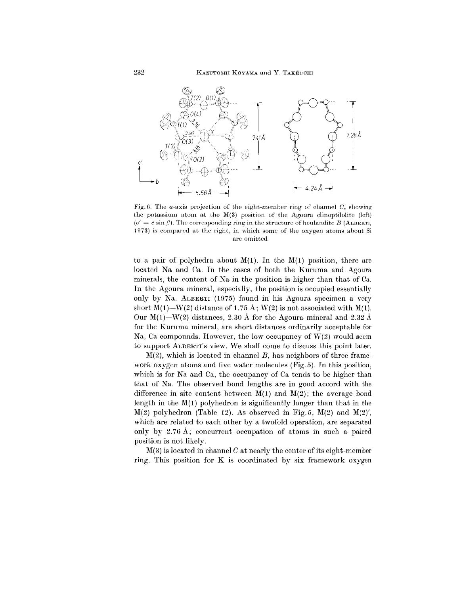

Fig. (3. The a-axis projection of the eight-member ring of channel *C,* showing the potassium atom at the  $M(3)$  position of the Agoura clinoptilolite (left) ( $c' = c \sin \beta$ ). The corresponding ring in the structure of houlandite  $B$  (ALBERTI, 1973) is compared at the right, in which some of tho oxygen atoms about Si are omitted

to a pair of polyhedra about  $M(1)$ . In the  $M(1)$  position, there are located Na and Ca. In the cases of both the Kuruma and Agoura minerals, the content of Na in the position is higher than that of Ca. In the Agoura mineral, especially, the position is occupied essentially only by Na. ALBERTI (1975) found in his Agoura specimen a very short  $M(1)$ -W(2) distance of 1.75 Å; W(2) is not associated with  $M(1)$ . Our  $M(1)$ -W(2) distances, 2.30 Å for the Agoura mineral and 2.32 Å for the Kuruma mineral, are short distances ordinarily acceptable for Na, Ca compounds. However, the low occupancy of W(2) would seem to support ALBERTI'S view. We shall come to discuss this point later.

M(2), which is located in channel *B,* has neighbors of three framework oxygen atoms and five water molecules (Fig. 5). In this position, which is for Na and Ca, the occupancy of Ca tends to be higher than that of Na. The observed bond lengths are in good accord with the difference in site content between  $M(1)$  and  $M(2)$ ; the average bond length in the  $M(1)$  polyhedron is significantly longer than that in the  $M(2)$  polyhedron (Table 12). As observed in Fig.5,  $M(2)$  and  $M(2)'$ , which are related to each other by a twofold operation, are separated only by 2.76 A; concurrent occupation of atoms in such a paired position is not likely.

M(3) is located in channel *C* at nearly the center of its eight-member ring. This position for K is coordinated by six framework oxygen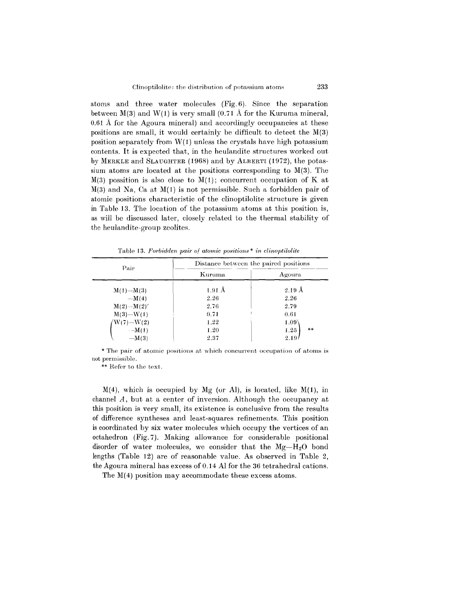atoms and three water molecules (Fig. 6). Since the separation between  $M(3)$  and  $W(1)$  is very small  $(0.71 \text{ Å}$  for the Kuruma mineral, 0.61 A for the Agoura mineral) and accordingly occupancies at these positions are small, it would certainly be difficult to detect the M(3) position separately from  $W(1)$  unless the crystals have high potassium contents. It is expected that, in the heulandite structures worked out by MERKLE and SLAUGHTER(1968) and by ALBERTI (1972), the potassium atoms are located at the positions corresponding to M(3). The  $M(3)$  possition is also close to  $M(1)$ ; concurrent occupation of K at  $M(3)$  and Na, Ca at  $M(1)$  is not permissible. Such a forbidden pair of atomic positions characteristic of the clinoptilolite structure is given in Table 13. The location of the potassium atoms at this position is, as will be discussed later, closely related to the thermal stability of the heulandite-group zeolites.

| Pair                                          | Distance between the paired positions |                      |
|-----------------------------------------------|---------------------------------------|----------------------|
|                                               | Kuruma                                | Agoura               |
| $M(1) - M(3)$                                 | $1.91 \text{ Å}$                      | $2.19\,\mathrm{\AA}$ |
| $-M(4)$                                       | 2.26                                  | 2.26                 |
| $M(2)$ -- $M(2)'$                             | 2.76                                  | 2.79                 |
| $M(3) - W(1)$                                 | 0.71                                  | 0.61                 |
| $\sqrt{\mathrm{W(7)}}\text{---}\mathrm{W(2)}$ | 1.22                                  | 1.09 <sup>6</sup>    |
| $-M(1)$                                       | 1.20                                  | **<br>1.25           |
| $-M(3)$                                       | 2.37                                  | 2.19                 |

 $\frac{1}{2}$ Table 13. *Forbidden pair of atomic positions* \* *in clinoptilol* 

\* The pair of atomic positions at which concurrent occupation of atoms is not permissible.

\*\* Refer to the text.

 $M(4)$ , which is occupied by Mg (or Al), is located, like  $M(1)$ , in channel *A,* but at a center of inversion. Although the occupancy at this position is very small, its existence is conclusive from the results of difference syntheses and least-squares refinements. This position is coordinated by six water molecules which occupy the vertices of an octahedron (Fig, 7). Making allowance for considerable positional disorder of water molecules, we consider that the *Mg-HzO* bond lengths (Table 12) are of reasonable value. As observed in Table 2, the Agoura mineral has excess of 0.14 **Al** for the 36 tetrahedral cations.

The M(4) position may accommodate these excess atoms.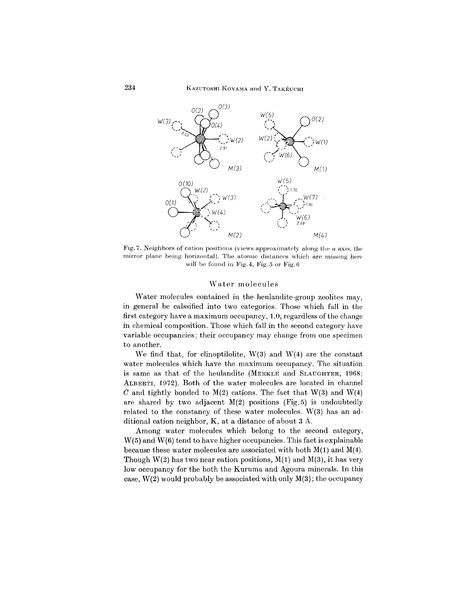

Fig.7. Neighbors of cation positions (views approximately along the *a* axis, the mirror plane being horizontal). The atomic distances which are missing here will be found in Fig. 4, Fig.  $5$  or Fig.  $6$ 

# Water molecules

Water molecules contained in the heulandite-group zeolites may, in general be calssified into two categories. Those which fall in the first category have a maximum occupancy, 1.0, regardless of the change in chemical composition. Those which fall in the second category have variable occupancies; their occupancy may change from one specimen to another.

We find that, for clinoptilolite,  $W(3)$  and  $W(4)$  are the constant water molecules which have the maximum occupancy. The situation is same as that of the heulandite (MERKLE and SLAUGHTER, 1968; ALBERTI, 1972). Both of the water molecules are located in channel *C* and tightly bonded to  $M(2)$  cations. The fact that  $W(3)$  and  $W(4)$ are shared by two adjacent  $M(2)$  positions (Fig.5) is undoubtedly related to the constancy of these water molecules. W(3) has an additional cation neighbor, K, at a distance of about 3 A.

Among water molecules which belong to the second category, W(5) and W(6) tend to have higher occupancies. This fact is explainable because these water molecules are associated with both  $M(1)$  and  $M(4)$ . Though  $W(2)$  has two near cation positions,  $M(1)$  and  $M(3)$ , it has very low occupancy for the both the Kuruma and Agoura minerals. **In** this case,  $W(2)$  would probably be associated with only  $M(3)$ ; the occupancy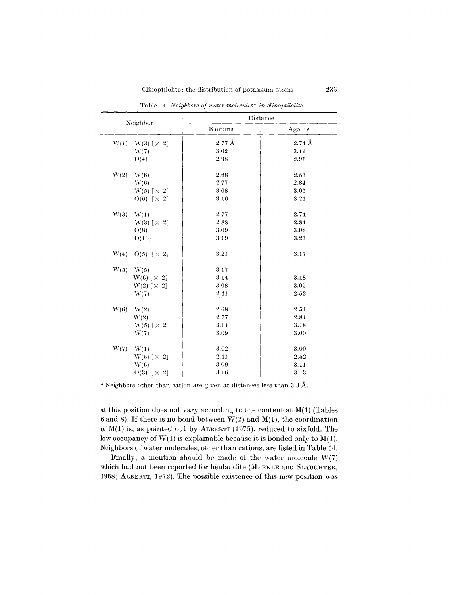| Neighbor                        | Distance       |                   |
|---------------------------------|----------------|-------------------|
|                                 | Kuruma         | Agoura            |
| W(1)<br>$W(3)$ [ $\times$ 2]    | $2.77~\rm \AA$ | $2.74~\text{\AA}$ |
| W(7)                            | 3.02           | 3.11              |
| O(4)                            | 2.98           | 2.91              |
| W(2)<br>W(6)                    | 2.68           | 2.51              |
| W(6)                            | 2.77           | 2.84              |
| $W(5)$ [ $\times$ 2]            | 3.08           | 3.05              |
| $O(6)$ $\lceil \times 2 \rceil$ | 3.16           | $3.21\,$          |
| W(3)<br>W(1)                    | 2.77           | 2.74              |
| $W(3)$ [ $\times$ 2]            | 2.88           | 2.84              |
| O(8)                            | 3.09           | 3.02              |
| O(10)                           | 3.19           | 3.21              |
| W(4)<br>$O(5)$ [ $\times$ 2]    | 3.21           | 3.17              |
| W(5)<br>W(5)                    | 3.17           |                   |
| $W(6)$ [ $\times$ 2]            | 3.14           | 3.18              |
| $W(2)$ [ $\times$ 2]            | 3.08           | 3.05              |
| W(7)                            | 2.41           | 2.52              |
| W(6)<br>W(2)                    | 2.68           | 2.51              |
| W(2)                            | $2.77\,$       | 2.84              |
| $W(5)$ [ $\times$ 2]            | 3.14           | 3.18              |
| W(7)                            | 3.09           | 3.00              |
| W(7)<br>W(1)                    | $3.02\,$       | 3.00              |
| $W(5)$ [ $\times$ 2]            | 2.41           | 2.52              |
| W(6)                            | 3.09           | 3.11              |
| $O(3)$ [ $\times$ 2]            | 3.16           | 3.13              |

Tablc 14. *Neighbors of water molec:ules\* in clinoptilolite*

\* Neighbors other than cation are given at distances less than 3.3 A.

at this position does not vary according to the content at  $M(1)$  (Tables 6 and 8). If there is no bond between  $W(2)$  and  $M(1)$ , the coordination of  $M(1)$  is, as pointed out by ALBERTI (1975), reduced to sixfold. The low occupancy of  $W(1)$  is explainable because it is bonded only to  $M(1)$ . Neighbors of water molecules, other than cations, are listed in 'fable 14.

Finally, a mention should be made of the water molecule  $W(7)$ which had not been reported for heulandite (MERKLE and SLAUGHTER, 1968; ALBERTI, 1972). The possible existence of this new position was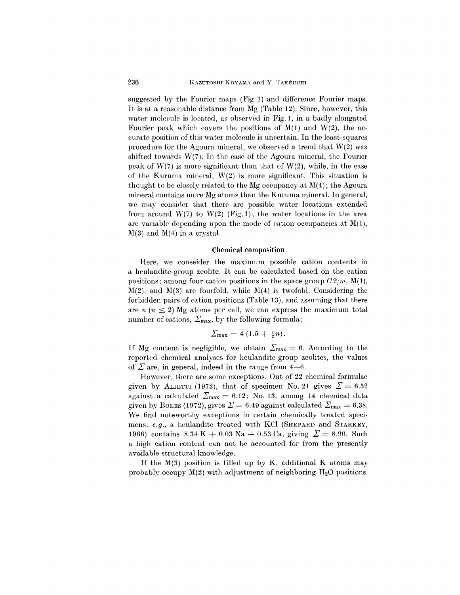suggested by the Fourier maps (Fig. 1) and difference Fourier maps. It is at a reasonable distance from Mg (Table 12). Since, however, this water molecule is located, as observed in Fig. 1, in a badly elongated Fourier peak which covers the positions of  $M(1)$  and  $W(2)$ , the accurate position of this water molecule is uncertain. In the least-squares procedure for the Agoura mineral, we observed a trend that W(2) was shifted towards  $W(7)$ . In the case of the Agoura mineral, the Fourier peak of  $W(7)$  is more significant than that of  $W(2)$ , while, in the case of the Kuruma mineral, W(2) is more significant. This situation is thought to be closely related to the Mg occupancy at  $M(4)$ ; the Agoura mineral contains more Mg atoms than the Kuruma mineral. In general, we may consider that there are possible water locations extended from around  $W(7)$  to  $W(2)$  (Fig. 1); the water locations in the area are variable depending upon the mode of cation occupancies at  $M(1)$ ,  $M(3)$  and  $M(4)$  in a crystal.

### Chemical composition

Here, we conseider the maximum possible cation contents in a heulandite-group zeolite. It can be calculated based on the cation positions; among four cation positions in the space group *C2/m,* M(1),  $M(2)$ , and  $M(3)$  are fourfold, while  $M(4)$  is twofold. Considering the forbidden pairs of cation positions (Table 13), and assuming that there are  $n (n \leq 2)$  Mg atoms per cell, we can express the maximum total number of cations,  $\Sigma_{\text{max}}$ , by the following formula:

$$
\Sigma_{\max}=4(1.5+\tfrac{1}{2}n).
$$

If Mg content is negligible, we obtain  $\Sigma_{\text{max}} = 6$ . According to the reported chemical analyses for heulandite-group zeolites, the values of  $\Sigma$  are, in general, indeed in the range from  $4-6$ .

However, there are some exceptions. Out of 22 chemical formulae given by ALIETTI (1972), that of specimen No. 21 gives  $\Sigma = 6.52$ against a calculated  $\Sigma_{\text{max}} = 6.12$ ; No. 13, among 14 chemical data given by BOLES (1972), gives  $\Sigma = 6.49$  against calculated  $\Sigma_{\text{max}} = 6.38$ . We find noteworthy exceptions in certain chemically treated specimens: *e.g.,* a heulandite treated with KCI (SHEPARD and STARKEY, 1966) contains  $8.34 \text{ K} + 0.03 \text{ Na} + 0.53 \text{ Ca}$ , giving  $\mathcal{Z} = 8.90$ . Such a high cation content can not be accounted for from the presently available structural knowledge.

If the  $M(3)$  position is filled up by K, additional K atoms may probably occupy  $M(2)$  with adjustment of neighboring  $H_2O$  positions.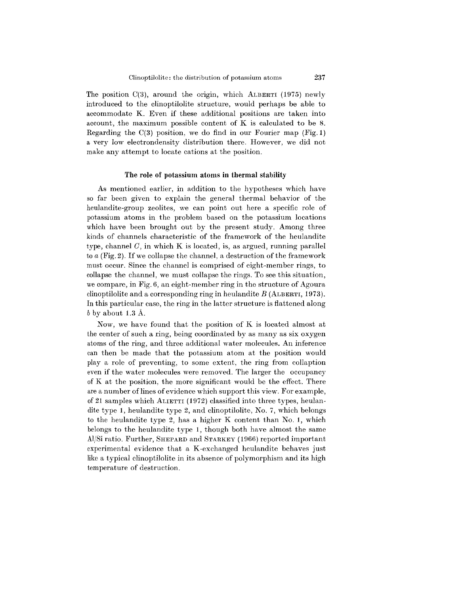The position *0(3),* around the origin, which ALBERTI (1975) newly introduced to the clinoptilolite structure, would perhaps be able to accommodate K. Even if these additional positions are taken into account, the maximum possible content of K is calculated to be 8. Regarding the  $C(3)$  position, we do find in our Fourier map (Fig. 1) a very low electron density distribution there. However, we did not make any attempt to locate cations at the position.

### The role of potassium atoms in thermal stability

As mentioned earlier, in addition to the hypotheses which have so far been given to explain the general thermal behavior of the heulandite-group zeolites, we can point out here a specific role of potassium atoms in the problem based on the potassium locations which have been brought out by the present study. Among three kinds of channels characteristic of the framework of the heulandite type, channel  $C$ , in which K is located, is, as argued, running parallel to *a* (Fig. 2). If we collapse the channel, a destruction of the framework must occur. Since the channel is comprised of eight-member rings, to collapse the channel, we must collapse the rings. To see this situation, we compare, in Fig. 6, an eight-member ring in the structure of Agoura clinoptilolite and a corresponding ring in heulandite *B* (ALBERTI, 1973). In this particular case, the ring in the latter structure is flattened along *b* by about 1.3 A.

Now, we have found that the position of K is located almost at the center of such a ring, being coordinated by as many as six oxygen atoms of the ring, and three additional water molecules. An inference can then be made that the potassium atom at the position would playa role of preventing, to some extent, the ring from collaption even if the water molecules were removed. The larger the occupancy of K at the position, the more significant would be the effect. There are a number of lines of evidence which support this view. For example, of 21 samples which AUETTI (1972) classified into three types, heulandite type 1, heulandite type 2, and clinoptilolite, No.7, which belongs to the heulandite type 2, has a higher K content than No.1, which belongs to the heulandite type 1, though both have almost the same Al/Si ratio. Further, SHEPARD and STARKEY (1966) reported important experimental evidence that a K-exchanged heulandite behaves just like a typical clinoptilolite in its absence of polymorphism and its high temperature of destruction.